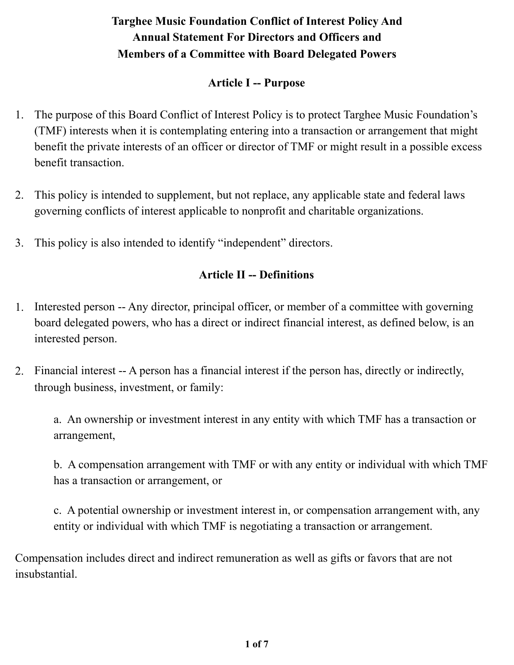### **Article I -- Purpose**

- 1. The purpose of this Board Conflict of Interest Policy is to protect Targhee Music Foundation's (TMF) interests when it is contemplating entering into a transaction or arrangement that might benefit the private interests of an officer or director of TMF or might result in a possible excess benefit transaction.
- 2. This policy is intended to supplement, but not replace, any applicable state and federal laws governing conflicts of interest applicable to nonprofit and charitable organizations.
- 3. This policy is also intended to identify "independent" directors.

### **Article II -- Definitions**

- 1. Interested person -- Any director, principal officer, or member of a committee with governing board delegated powers, who has a direct or indirect financial interest, as defined below, is an interested person.
- 2. Financial interest -- A person has a financial interest if the person has, directly or indirectly, through business, investment, or family:

a. An ownership or investment interest in any entity with which TMF has a transaction or arrangement,

b. A compensation arrangement with TMF or with any entity or individual with which TMF has a transaction or arrangement, or

c. A potential ownership or investment interest in, or compensation arrangement with, any entity or individual with which TMF is negotiating a transaction or arrangement.

Compensation includes direct and indirect remuneration as well as gifts or favors that are not insubstantial.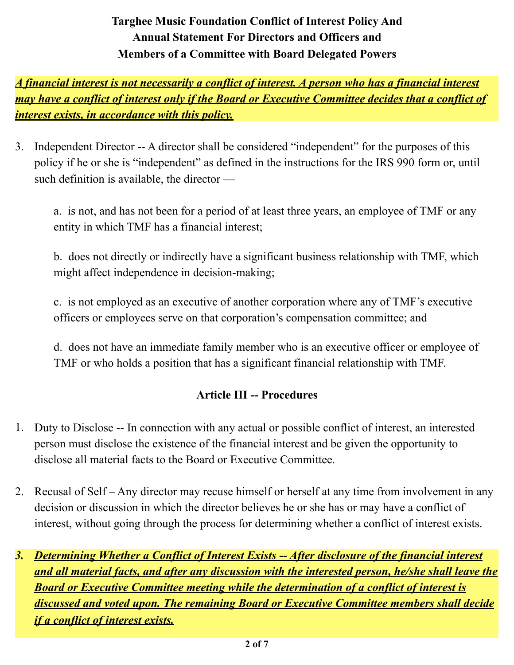*A financial interest is not necessarily a conflict of interest. A person who has a financial interest may have a conflict of interest only if the Board or Executive Committee decides that a conflict of interest exists, in accordance with this policy.*

3. Independent Director -- A director shall be considered "independent" for the purposes of this policy if he or she is "independent" as defined in the instructions for the IRS 990 form or, until such definition is available, the director —

a. is not, and has not been for a period of at least three years, an employee of TMF or any entity in which TMF has a financial interest;

b. does not directly or indirectly have a significant business relationship with TMF, which might affect independence in decision-making;

c. is not employed as an executive of another corporation where any of TMF's executive officers or employees serve on that corporation's compensation committee; and

d. does not have an immediate family member who is an executive officer or employee of TMF or who holds a position that has a significant financial relationship with TMF.

#### **Article III -- Procedures**

- 1. Duty to Disclose -- In connection with any actual or possible conflict of interest, an interested person must disclose the existence of the financial interest and be given the opportunity to disclose all material facts to the Board or Executive Committee.
- 2. Recusal of Self Any director may recuse himself or herself at any time from involvement in any decision or discussion in which the director believes he or she has or may have a conflict of interest, without going through the process for determining whether a conflict of interest exists.
- *3. Determining Whether a Conflict of Interest Exists -- After disclosure of the financial interest and all material facts, and after any discussion with the interested person, he/she shall leave the Board or Executive Committee meeting while the determination of a conflict of interest is discussed and voted upon. The remaining Board or Executive Committee members shall decide if a conflict of interest exists.*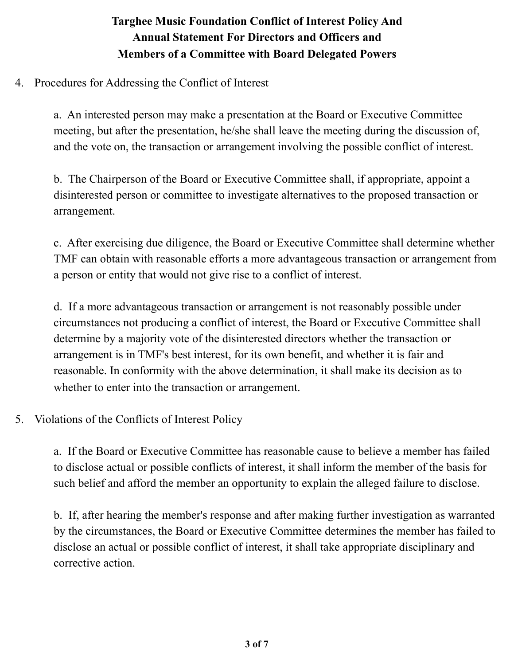4. Procedures for Addressing the Conflict of Interest

a. An interested person may make a presentation at the Board or Executive Committee meeting, but after the presentation, he/she shall leave the meeting during the discussion of, and the vote on, the transaction or arrangement involving the possible conflict of interest.

b. The Chairperson of the Board or Executive Committee shall, if appropriate, appoint a disinterested person or committee to investigate alternatives to the proposed transaction or arrangement.

c. After exercising due diligence, the Board or Executive Committee shall determine whether TMF can obtain with reasonable efforts a more advantageous transaction or arrangement from a person or entity that would not give rise to a conflict of interest.

d. If a more advantageous transaction or arrangement is not reasonably possible under circumstances not producing a conflict of interest, the Board or Executive Committee shall determine by a majority vote of the disinterested directors whether the transaction or arrangement is in TMF's best interest, for its own benefit, and whether it is fair and reasonable. In conformity with the above determination, it shall make its decision as to whether to enter into the transaction or arrangement.

5. Violations of the Conflicts of Interest Policy

a. If the Board or Executive Committee has reasonable cause to believe a member has failed to disclose actual or possible conflicts of interest, it shall inform the member of the basis for such belief and afford the member an opportunity to explain the alleged failure to disclose.

b. If, after hearing the member's response and after making further investigation as warranted by the circumstances, the Board or Executive Committee determines the member has failed to disclose an actual or possible conflict of interest, it shall take appropriate disciplinary and corrective action.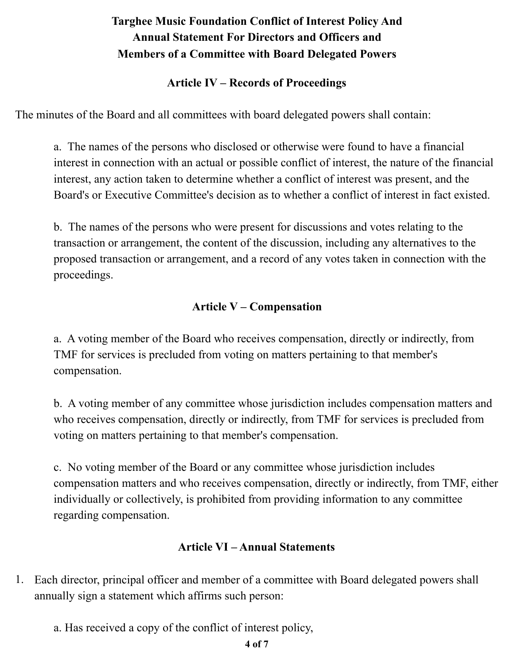#### **Article IV – Records of Proceedings**

The minutes of the Board and all committees with board delegated powers shall contain:

a. The names of the persons who disclosed or otherwise were found to have a financial interest in connection with an actual or possible conflict of interest, the nature of the financial interest, any action taken to determine whether a conflict of interest was present, and the Board's or Executive Committee's decision as to whether a conflict of interest in fact existed.

b. The names of the persons who were present for discussions and votes relating to the transaction or arrangement, the content of the discussion, including any alternatives to the proposed transaction or arrangement, and a record of any votes taken in connection with the proceedings.

### **Article V – Compensation**

a. A voting member of the Board who receives compensation, directly or indirectly, from TMF for services is precluded from voting on matters pertaining to that member's compensation.

b. A voting member of any committee whose jurisdiction includes compensation matters and who receives compensation, directly or indirectly, from TMF for services is precluded from voting on matters pertaining to that member's compensation.

c. No voting member of the Board or any committee whose jurisdiction includes compensation matters and who receives compensation, directly or indirectly, from TMF, either individually or collectively, is prohibited from providing information to any committee regarding compensation.

### **Article VI – Annual Statements**

- 1. Each director, principal officer and member of a committee with Board delegated powers shall annually sign a statement which affirms such person:
	- a. Has received a copy of the conflict of interest policy,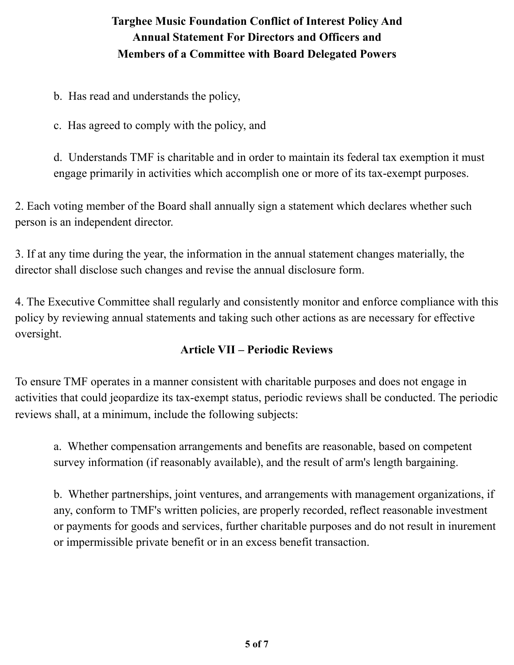b. Has read and understands the policy,

c. Has agreed to comply with the policy, and

d. Understands TMF is charitable and in order to maintain its federal tax exemption it must engage primarily in activities which accomplish one or more of its tax-exempt purposes.

2. Each voting member of the Board shall annually sign a statement which declares whether such person is an independent director.

3. If at any time during the year, the information in the annual statement changes materially, the director shall disclose such changes and revise the annual disclosure form.

4. The Executive Committee shall regularly and consistently monitor and enforce compliance with this policy by reviewing annual statements and taking such other actions as are necessary for effective oversight.

### **Article VII – Periodic Reviews**

To ensure TMF operates in a manner consistent with charitable purposes and does not engage in activities that could jeopardize its tax-exempt status, periodic reviews shall be conducted. The periodic reviews shall, at a minimum, include the following subjects:

a. Whether compensation arrangements and benefits are reasonable, based on competent survey information (if reasonably available), and the result of arm's length bargaining.

b. Whether partnerships, joint ventures, and arrangements with management organizations, if any, conform to TMF's written policies, are properly recorded, reflect reasonable investment or payments for goods and services, further charitable purposes and do not result in inurement or impermissible private benefit or in an excess benefit transaction.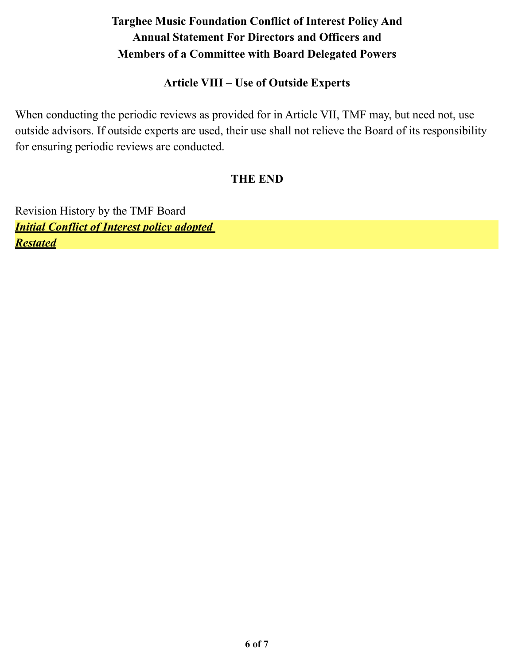#### **Article VIII – Use of Outside Experts**

When conducting the periodic reviews as provided for in Article VII, TMF may, but need not, use outside advisors. If outside experts are used, their use shall not relieve the Board of its responsibility for ensuring periodic reviews are conducted.

#### **THE END**

Revision History by the TMF Board *Initial Conflict of Interest policy adopted Restated*